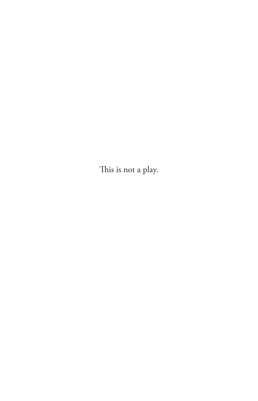This is not a play.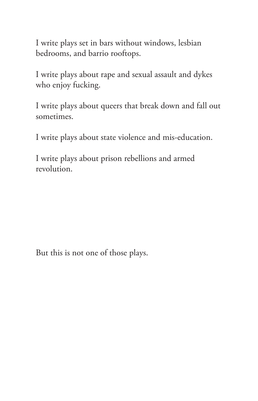I write plays set in bars without windows, lesbian bedrooms, and barrio rooftops.

I write plays about rape and sexual assault and dykes who enjoy fucking.

I write plays about queers that break down and fall out sometimes.

I write plays about state violence and mis-education.

I write plays about prison rebellions and armed revolution.

But this is not one of those plays.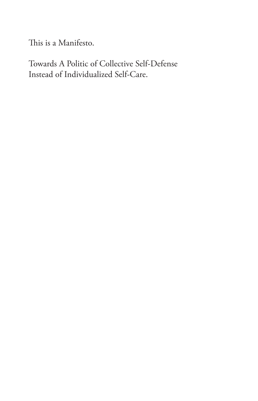This is a Manifesto.

Towards A Politic of Collective Self-Defense Instead of Individualized Self-Care.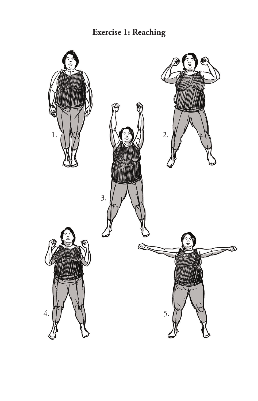**Exercise 1: Reaching**

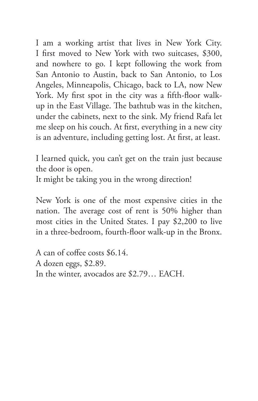I am a working artist that lives in New York City. I first moved to New York with two suitcases, \$300, and nowhere to go. I kept following the work from San Antonio to Austin, back to San Antonio, to Los Angeles, Minneapolis, Chicago, back to LA, now New York. My first spot in the city was a fifth-floor walkup in the East Village. The bathtub was in the kitchen, under the cabinets, next to the sink. My friend Rafa let me sleep on his couch. At first, everything in a new city is an adventure, including getting lost. At first, at least.

I learned quick, you can't get on the train just because the door is open.

It might be taking you in the wrong direction!

New York is one of the most expensive cities in the nation. The average cost of rent is 50% higher than most cities in the United States. I pay \$2,200 to live in a three-bedroom, fourth-floor walk-up in the Bronx.

A can of coffee costs \$6.14. A dozen eggs, \$2.89. In the winter, avocados are \$2.79… EACH.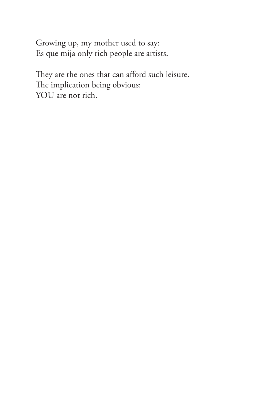Growing up, my mother used to say: Es que mija only rich people are artists.

They are the ones that can afford such leisure. The implication being obvious: YOU are not rich.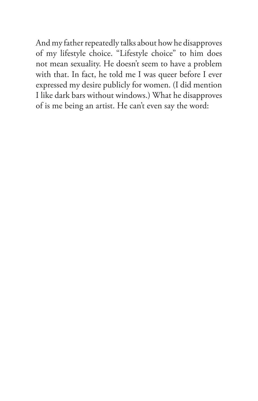And my father repeatedly talks about how he disapproves of my lifestyle choice. "Lifestyle choice" to him does not mean sexuality. He doesn't seem to have a problem with that. In fact, he told me I was queer before I ever expressed my desire publicly for women. (I did mention I like dark bars without windows.) What he disapproves of is me being an artist. He can't even say the word: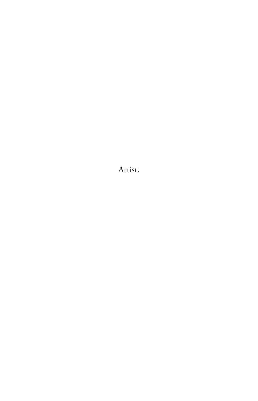Artist.